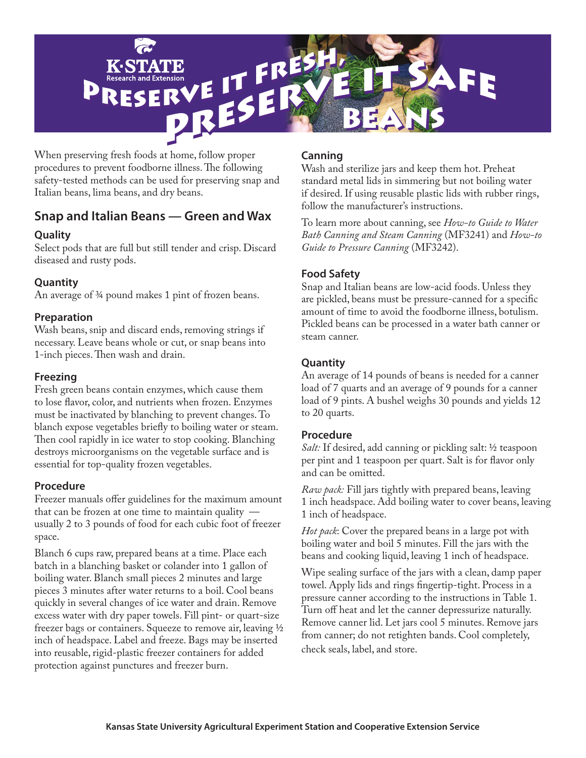

When preserving fresh foods at home, follow proper procedures to prevent foodborne illness. The following safety-tested methods can be used for preserving snap and Italian beans, lima beans, and dry beans.

## **Snap and Italian Beans — Green and Wax**

### **Quality**

Select pods that are full but still tender and crisp. Discard diseased and rusty pods.

### **Quantity**

An average of 3⁄4 pound makes 1 pint of frozen beans.

#### **Preparation**

Wash beans, snip and discard ends, removing strings if necessary. Leave beans whole or cut, or snap beans into 1-inch pieces. Then wash and drain.

#### **Freezing**

Fresh green beans contain enzymes, which cause them to lose flavor, color, and nutrients when frozen. Enzymes must be inactivated by blanching to prevent changes. To blanch expose vegetables briefly to boiling water or steam. Then cool rapidly in ice water to stop cooking. Blanching destroys microorganisms on the vegetable surface and is essential for top-quality frozen vegetables.

#### **Procedure**

Freezer manuals offer guidelines for the maximum amount that can be frozen at one time to maintain quality  $$ usually 2 to 3 pounds of food for each cubic foot of freezer space.

Blanch 6 cups raw, prepared beans at a time. Place each batch in a blanching basket or colander into 1 gallon of boiling water. Blanch small pieces 2 minutes and large pieces 3 minutes after water returns to a boil. Cool beans quickly in several changes of ice water and drain. Remove excess water with dry paper towels. Fill pint- or quart-size freezer bags or containers. Squeeze to remove air, leaving 1⁄2 inch of headspace. Label and freeze. Bags may be inserted into reusable, rigid-plastic freezer containers for added protection against punctures and freezer burn.

Wash and sterilize jars and keep them hot. Preheat standard metal lids in simmering but not boiling water if desired. If using reusable plastic lids with rubber rings, follow the manufacturer's instructions.

To learn more about canning, see *How-to Guide to Water Bath Canning and Steam Canning* (MF3241) and *How-to Guide to Pressure Canning* (MF3242).

#### **Food Safety**

Snap and Italian beans are low-acid foods. Unless they are pickled, beans must be pressure-canned for a specific amount of time to avoid the foodborne illness, botulism. Pickled beans can be processed in a water bath canner or steam canner.

### **Quantity**

An average of 14 pounds of beans is needed for a canner load of 7 quarts and an average of 9 pounds for a canner load of 9 pints. A bushel weighs 30 pounds and yields 12 to 20 quarts.

#### **Procedure**

*Salt:* If desired, add canning or pickling salt: 1/2 teaspoon per pint and 1 teaspoon per quart. Salt is for flavor only and can be omitted.

*Raw pack:* Fill jars tightly with prepared beans, leaving 1 inch headspace. Add boiling water to cover beans, leaving 1 inch of headspace.

*Hot pack*: Cover the prepared beans in a large pot with boiling water and boil 5 minutes. Fill the jars with the beans and cooking liquid, leaving 1 inch of headspace.

Wipe sealing surface of the jars with a clean, damp paper towel. Apply lids and rings fingertip-tight. Process in a pressure canner according to the instructions in Table 1. Turn off heat and let the canner depressurize naturally. Remove canner lid. Let jars cool 5 minutes. Remove jars from canner; do not retighten bands. Cool completely, check seals, label, and store.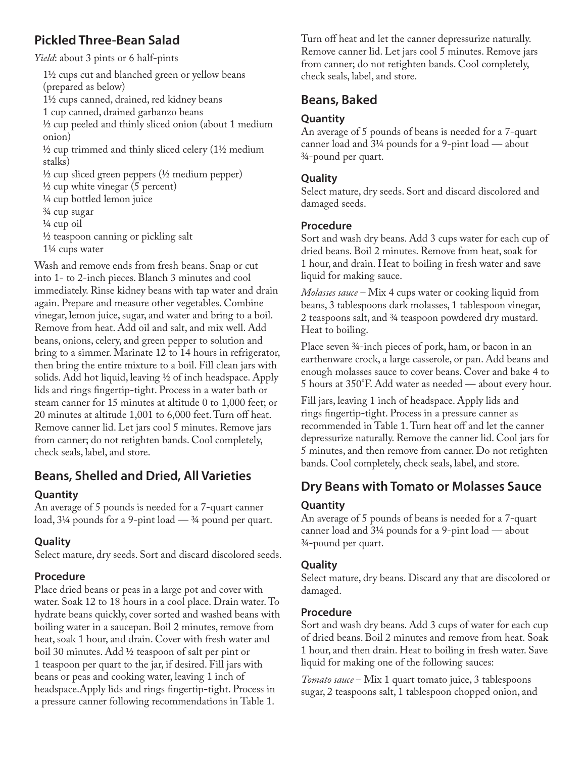# **Pickled Three-Bean Salad**

*Yield*: about 3 pints or 6 half-pints

1½ cups cut and blanched green or yellow beans (prepared as below) 1½ cups canned, drained, red kidney beans 1 cup canned, drained garbanzo beans ½ cup peeled and thinly sliced onion (about 1 medium onion) ½ cup trimmed and thinly sliced celery (1½ medium stalks) ½ cup sliced green peppers (½ medium pepper)  $\frac{1}{2}$  cup white vinegar (5 percent) ¼ cup bottled lemon juice ¾ cup sugar ¼ cup oil ½ teaspoon canning or pickling salt 1¼ cups water

Wash and remove ends from fresh beans. Snap or cut into 1- to 2-inch pieces. Blanch 3 minutes and cool immediately. Rinse kidney beans with tap water and drain again. Prepare and measure other vegetables. Combine vinegar, lemon juice, sugar, and water and bring to a boil. Remove from heat. Add oil and salt, and mix well. Add beans, onions, celery, and green pepper to solution and bring to a simmer. Marinate 12 to 14 hours in refrigerator, then bring the entire mixture to a boil. Fill clean jars with solids. Add hot liquid, leaving ½ of inch headspace. Apply lids and rings fingertip-tight. Process in a water bath or steam canner for 15 minutes at altitude 0 to 1,000 feet; or 20 minutes at altitude 1,001 to 6,000 feet. Turn off heat. Remove canner lid. Let jars cool 5 minutes. Remove jars from canner; do not retighten bands. Cool completely, check seals, label, and store.

# **Beans, Shelled and Dried, All Varieties**

#### **Quantity**

An average of 5 pounds is needed for a 7-quart canner load, 3¼ pounds for a 9-pint load — ¾ pound per quart.

### **Quality**

Select mature, dry seeds. Sort and discard discolored seeds.

#### **Procedure**

Place dried beans or peas in a large pot and cover with water. Soak 12 to 18 hours in a cool place. Drain water. To hydrate beans quickly, cover sorted and washed beans with boiling water in a saucepan. Boil 2 minutes, remove from heat, soak 1 hour, and drain. Cover with fresh water and boil 30 minutes. Add ½ teaspoon of salt per pint or 1 teaspoon per quart to the jar, if desired. Fill jars with beans or peas and cooking water, leaving 1 inch of headspace.Apply lids and rings fingertip-tight. Process in a pressure canner following recommendations in Table 1.

Turn off heat and let the canner depressurize naturally. Remove canner lid. Let jars cool 5 minutes. Remove jars from canner; do not retighten bands. Cool completely, check seals, label, and store.

# **Beans, Baked**

#### **Quantity**

An average of 5 pounds of beans is needed for a 7-quart canner load and 3¼ pounds for a 9-pint load — about ¾-pound per quart.

#### **Quality**

Select mature, dry seeds. Sort and discard discolored and damaged seeds.

#### **Procedure**

Sort and wash dry beans. Add 3 cups water for each cup of dried beans. Boil 2 minutes. Remove from heat, soak for 1 hour, and drain. Heat to boiling in fresh water and save liquid for making sauce.

*Molasses sauce* – Mix 4 cups water or cooking liquid from beans, 3 tablespoons dark molasses, 1 tablespoon vinegar, 2 teaspoons salt, and ¾ teaspoon powdered dry mustard. Heat to boiling.

Place seven 34-inch pieces of pork, ham, or bacon in an earthenware crock, a large casserole, or pan. Add beans and enough molasses sauce to cover beans. Cover and bake 4 to 5 hours at 350°F. Add water as needed — about every hour.

Fill jars, leaving 1 inch of headspace. Apply lids and rings fingertip-tight. Process in a pressure canner as recommended in Table 1. Turn heat off and let the canner depressurize naturally. Remove the canner lid. Cool jars for 5 minutes, and then remove from canner. Do not retighten bands. Cool completely, check seals, label, and store.

# **Dry Beans with Tomato or Molasses Sauce**

#### **Quantity**

An average of 5 pounds of beans is needed for a 7-quart canner load and 3¼ pounds for a 9-pint load — about ¾-pound per quart.

#### **Quality**

Select mature, dry beans. Discard any that are discolored or damaged.

#### **Procedure**

Sort and wash dry beans. Add 3 cups of water for each cup of dried beans. Boil 2 minutes and remove from heat. Soak 1 hour, and then drain. Heat to boiling in fresh water. Save liquid for making one of the following sauces:

*Tomato sauce* – Mix 1 quart tomato juice, 3 tablespoons sugar, 2 teaspoons salt, 1 tablespoon chopped onion, and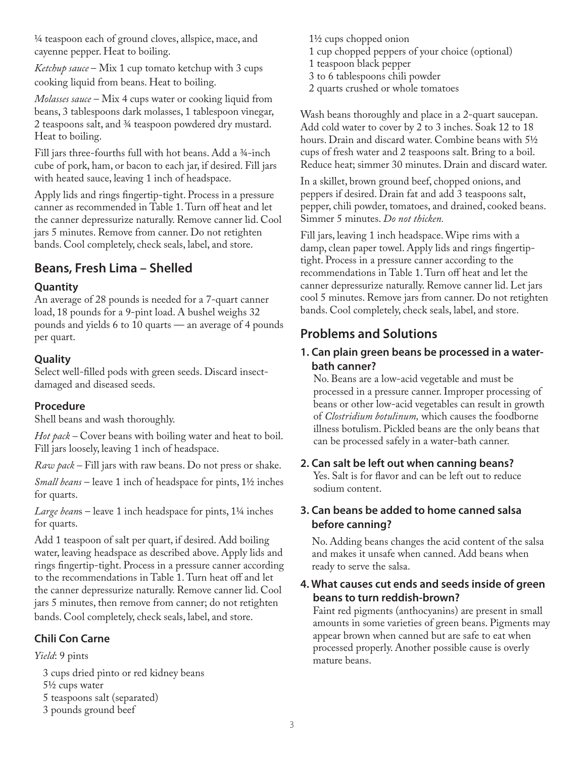¼ teaspoon each of ground cloves, allspice, mace, and cayenne pepper. Heat to boiling.

*Ketchup sauce* – Mix 1 cup tomato ketchup with 3 cups cooking liquid from beans. Heat to boiling.

*Molasses sauce* – Mix 4 cups water or cooking liquid from beans, 3 tablespoons dark molasses, 1 tablespoon vinegar, 2 teaspoons salt, and ¾ teaspoon powdered dry mustard. Heat to boiling.

Fill jars three-fourths full with hot beans. Add a ¾-inch cube of pork, ham, or bacon to each jar, if desired. Fill jars with heated sauce, leaving 1 inch of headspace.

Apply lids and rings fingertip-tight. Process in a pressure canner as recommended in Table 1. Turn off heat and let the canner depressurize naturally. Remove canner lid. Cool jars 5 minutes. Remove from canner. Do not retighten bands. Cool completely, check seals, label, and store.

# **Beans, Fresh Lima – Shelled**

## **Quantity**

An average of 28 pounds is needed for a 7-quart canner load, 18 pounds for a 9-pint load. A bushel weighs 32 pounds and yields 6 to 10 quarts — an average of 4 pounds per quart.

## **Quality**

Select well-filled pods with green seeds. Discard insectdamaged and diseased seeds.

## **Procedure**

Shell beans and wash thoroughly.

*Hot pack* – Cover beans with boiling water and heat to boil. Fill jars loosely, leaving 1 inch of headspace.

*Raw pack –* Fill jars with raw beans. Do not press or shake.

*Small beans* – leave 1 inch of headspace for pints, 1½ inches for quarts.

*Large bean*s – leave 1 inch headspace for pints, 1¼ inches for quarts.

Add 1 teaspoon of salt per quart, if desired. Add boiling water, leaving headspace as described above. Apply lids and rings fingertip-tight. Process in a pressure canner according to the recommendations in Table 1. Turn heat off and let the canner depressurize naturally. Remove canner lid. Cool jars 5 minutes, then remove from canner; do not retighten bands. Cool completely, check seals, label, and store.

## **Chili Con Carne**

*Yield*: 9 pints

- 3 cups dried pinto or red kidney beans
- 5½ cups water
- 5 teaspoons salt (separated)
- 3 pounds ground beef
- 1½ cups chopped onion 1 cup chopped peppers of your choice (optional) 1 teaspoon black pepper
- 3 to 6 tablespoons chili powder
- 2 quarts crushed or whole tomatoes

Wash beans thoroughly and place in a 2-quart saucepan. Add cold water to cover by 2 to 3 inches. Soak 12 to 18 hours. Drain and discard water. Combine beans with 5½ cups of fresh water and 2 teaspoons salt. Bring to a boil. Reduce heat; simmer 30 minutes. Drain and discard water.

In a skillet, brown ground beef, chopped onions, and peppers if desired. Drain fat and add 3 teaspoons salt, pepper, chili powder, tomatoes, and drained, cooked beans. Simmer 5 minutes. *Do not thicken.*

Fill jars, leaving 1 inch headspace. Wipe rims with a damp, clean paper towel. Apply lids and rings fingertiptight. Process in a pressure canner according to the recommendations in Table 1. Turn off heat and let the canner depressurize naturally. Remove canner lid. Let jars cool 5 minutes. Remove jars from canner. Do not retighten bands. Cool completely, check seals, label, and store.

# **Problems and Solutions**

## **1. Can plain green beans be processed in a waterbath canner?**

No. Beans are a low-acid vegetable and must be processed in a pressure canner. Improper processing of beans or other low-acid vegetables can result in growth of *Clostridium botulinum,* which causes the foodborne illness botulism. Pickled beans are the only beans that can be processed safely in a water-bath canner.

## **2. Can salt be left out when canning beans?**

Yes. Salt is for flavor and can be left out to reduce sodium content.

### **3. Can beans be added to home canned salsa before canning?**

No. Adding beans changes the acid content of the salsa and makes it unsafe when canned. Add beans when ready to serve the salsa.

#### **4. What causes cut ends and seeds inside of green beans to turn reddish-brown?**

Faint red pigments (anthocyanins) are present in small amounts in some varieties of green beans. Pigments may appear brown when canned but are safe to eat when processed properly. Another possible cause is overly mature beans.